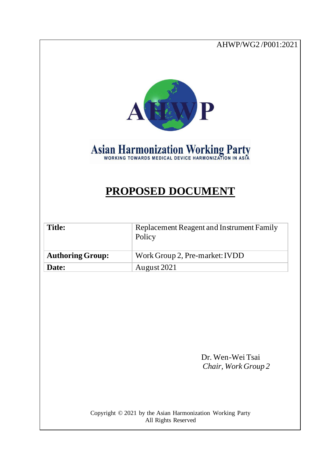## AHWP/WG2 /P001:2021



# Asian Harmonization Working Party

## **PROPOSED DOCUMENT**

| <b>Title:</b>           | Replacement Reagent and Instrument Family<br>Policy |
|-------------------------|-----------------------------------------------------|
| <b>Authoring Group:</b> | Work Group 2, Pre-market: IVDD                      |
| Date:                   | August 2021                                         |

Dr. Wen-Wei Tsai *Chair, Work Group 2*

Copyright © 2021 by the Asian Harmonization Working Party All Rights Reserved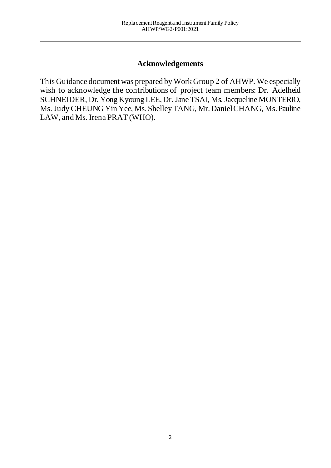## **Acknowledgements**

This Guidance document was prepared by Work Group 2 of AHWP. We especially wish to acknowledge the contributions of project team members: Dr. Adelheid SCHNEIDER, Dr. Yong Kyoung LEE,Dr. Jane TSAI, Ms. Jacqueline MONTERIO, Ms. Judy CHEUNG Yin Yee, Ms. Shelley TANG, Mr. Daniel CHANG, Ms. Pauline LAW, and Ms. Irena PRAT (WHO).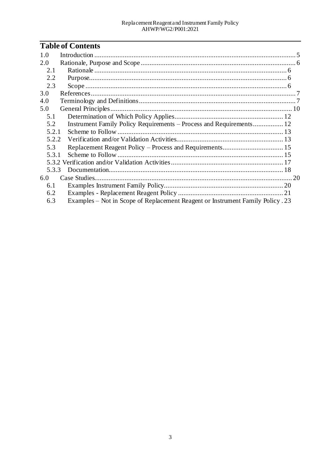## **Table of Contents**

| 1.0   |                                                                                |
|-------|--------------------------------------------------------------------------------|
| 2.0   |                                                                                |
| 2.1   |                                                                                |
| 2.2   |                                                                                |
| 2.3   |                                                                                |
| 3.0   |                                                                                |
| 4.0   |                                                                                |
| 5.0   |                                                                                |
| 5.1   |                                                                                |
| 5.2   | Instrument Family Policy Requirements – Process and Requirements 12            |
| 5.2.1 |                                                                                |
| 5.2.2 |                                                                                |
| 5.3   |                                                                                |
| 5.3.1 |                                                                                |
|       |                                                                                |
| 5.3.3 |                                                                                |
| 6.0   |                                                                                |
| 6.1   |                                                                                |
| 6.2   |                                                                                |
| 6.3   | Examples - Not in Scope of Replacement Reagent or Instrument Family Policy. 23 |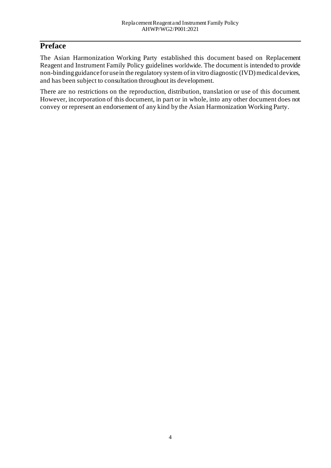## **Preface**

The Asian Harmonization Working Party established this document based on Replacement Reagent and Instrument Family Policy guidelines worldwide. The document is intended to provide non-binding guidance for use in the regulatory system of in vitro diagnostic (IVD) medical devices, and has been subject to consultation throughout its development.

There are no restrictions on the reproduction, distribution, translation or use of this document. However, incorporation of this document, in part or in whole, into any other document does not convey or represent an endorsement of any kind by the Asian Harmonization Working Party.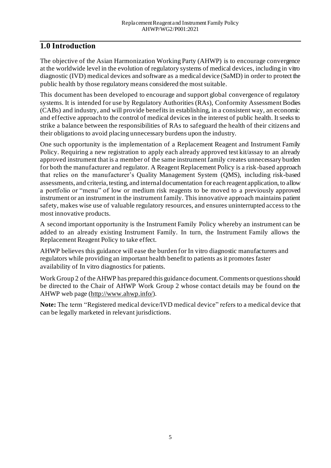## <span id="page-4-0"></span>**1.0 Introduction**

The objective of the Asian Harmonization Working Party (AHWP) is to encourage convergence at the worldwide level in the evolution of regulatory systems of medical devices, including in vitro diagnostic (IVD) medical devices and software as a medical device (SaMD) in order to protect the public health by those regulatory means considered the most suitable.

This document has been developed to encourage and support global convergence of regulatory systems. It is intended for use by Regulatory Authorities (RAs), Conformity Assessment Bodies (CABs) and industry, and will provide benefits in establishing, in a consistent way, an economic and effective approach to the control of medical devices in the interest of public health. It seeks to strike a balance between the responsibilities of RAs to safeguard the health of their citizens and their obligations to avoid placing unnecessary burdens upon the industry.

One such opportunity is the implementation of a Replacement Reagent and Instrument Family Policy. Requiring a new registration to apply each already approved test kit/assay to an already approved instrument that is a member of the same instrument family creates unnecessary burden for both the manufacturer and regulator. A Reagent Replacement Policy is a risk-based approach that relies on the manufacturer's Quality Management System (QMS), including risk-based assessments, and criteria, testing, and internal documentation for each reagent application, to allow a portfolio or "menu" of low or medium risk reagents to be moved to a previously approved instrument or an instrument in the instrument family. This innovative approach maintains patient safety, makes wise use of valuable regulatory resources, and ensures uninterrupted access to the most innovative products.

A second important opportunity is the Instrument Family Policy whereby an instrument can be added to an already existing Instrument Family. In turn, the Instrument Family allows the Replacement Reagent Policy to take effect.

AHWP believes this guidance will ease the burden for In vitro diagnostic manufacturers and regulators while providing an important health benefit to patients as it promotes faster availability of In vitro diagnostics for patients.

Work Group 2 of the AHWP has prepared this guidance document. Comments or questions should be directed to the Chair of AHWP Work Group 2 whose contact details may be found on the AHWP web page [\(http://www.ahwp.info/\)](http://www.ahwp.info/).

**Note:** The term "Registered medical device/IVD medical device" refers to a medical device that can be legally marketed in relevant jurisdictions.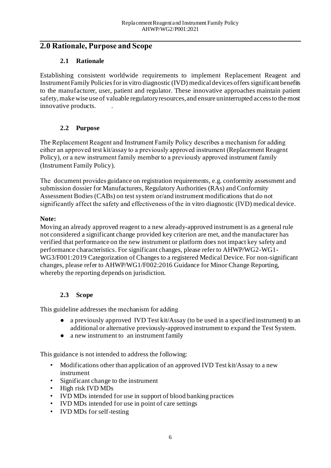## <span id="page-5-0"></span>**2.0 Rationale, Purpose and Scope**

#### **2.1 Rationale**

<span id="page-5-1"></span>Establishing consistent worldwide requirements to implement Replacement Reagent and Instrument Family Policies for in vitro diagnostic (IVD) medical devices offers significant benefits to the manufacturer, user, patient and regulator. These innovative approaches maintain patient safety, make wise use of valuable regulatory resources, and ensure uninterrupted access to the most innovative products. .

#### **2.2 Purpose**

<span id="page-5-2"></span>The Replacement Reagent and Instrument Family Policy describes a mechanism for adding either an approved test kit/assay to a previously approved instrument (Replacement Reagent Policy), or a new instrument family member to a previously approved instrument family (Instrument Family Policy).

The document provides guidance on registration requirements, e.g. conformity assessment and submission dossier for Manufacturers, Regulatory Authorities (RAs) and Conformity Assessment Bodies (CABs) on test system or/and instrument modifications that do not significantly affect the safety and effectiveness of the in vitro diagnostic (IVD) medical device.

#### **Note:**

Moving an already approved reagent to a new already-approved instrument is as a general rule not considered a significant change provided key criterion are met, and the manufacturer has verified that performance on the new instrument or platform does not impact key safety and performance characteristics. For significant changes, please refer to AHWP/WG2-WG1- WG3/F001:2019 Categorization of Changes to a registered Medical Device. For non-significant changes, please refer to AHWP/WG1/F002:2016 Guidance for Minor Change Reporting, whereby the reporting depends on jurisdiction.

#### **2.3 Scope**

<span id="page-5-3"></span>This guideline addresses the mechanism for adding

- a previously approved IVD Test kit/Assay (to be used in a specified instrument) to an additional or alternative previously-approved instrument to expand the Test System.
- a new instrument to an instrument family

This guidance is not intended to address the following:

- Modifications other than application of an approved IVD Test kit/Assay to a new instrument
- Significant change to the instrument
- High risk IVD MDs
- IVD MDs intended for use in support of blood banking practices
- IVD MDs intended for use in point of care settings
- IVD MDs for self-testing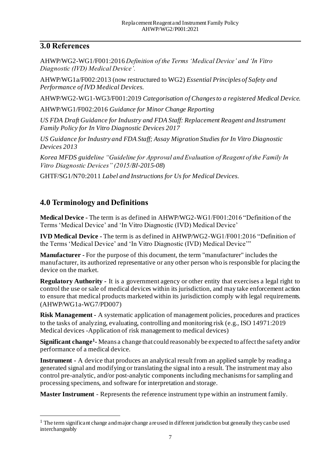## <span id="page-6-0"></span>**3.0 References**

AHWP/WG2-WG1/F001:2016 *Definition of the Terms 'Medical Device' and 'In Vitro Diagnostic (IVD) Medical Device'.*

AHWP/WG1a/F002:2013 (now restructured to WG2) *Essential Principles of Safety and Performance of IVD Medical Devices.*

AHWP/WG2-WG1-WG3/F001:2019 *Categorisation of Changes to a registered Medical Device.*

AHWP/WG1/F002:2016 *Guidance for Minor Change Reporting*

*US FDA Draft Guidance for Industry and FDA Staff: Replacement Reagent and Instrument Family Policy for In Vitro Diagnostic Devices 2017* 

*US Guidance for Industry and FDA Staff; Assay Migration Studies for In Vitro Diagnostic Devices 2013* 

*Korea MFDS guideline "Guideline for Approval and Evaluation of Reagent of the Family In Vitro Diagnostic Devices" (2015/BI-2015-08*)

GHTF/SG1/N70:2011 *Label and Instructions for Us for Medical Devices.*

## <span id="page-6-1"></span>**4.0 Terminology and Definitions**

**Medical Device -** The term is as defined in AHWP/WG2-WG1/F001:2016 "Definition of the Terms 'Medical Device' and 'In Vitro Diagnostic (IVD) Medical Device'

**IVD Medical Device -** The term is as defined in AHWP/WG2-WG1/F001:2016 "Definition of the Terms 'Medical Device' and 'In Vitro Diagnostic (IVD) Medical Device'"

**Manufacturer -** For the purpose of this document, the term "manufacturer" includes the manufacturer, its authorized representative or any other person who is responsible for placing the device on the market.

**Regulatory Authority -** It is a government agency or other entity that exercises a legal right to control the use or sale of medical devices within its jurisdiction, and may take enforcement action to ensure that medical products marketed within its jurisdiction comply with legal requirements. (AHWP/WG1a-WG7/PD007)

**Risk Management -** A systematic application of management policies, procedures and practices to the tasks of analyzing, evaluating, controlling and monitoring risk (e.g., ISO 14971:2019 Medical devices -Application of risk management to medical devices)

**Significant change<sup>1</sup> -** Means a change that could reasonably be expected to affect the safety and/or performance of a medical device.

**Instrument -** A device that produces an analytical result from an applied sample by reading a generated signal and modifying or translating the signal into a result. The instrument may also control pre-analytic, and/or post-analytic components including mechanisms for sampling and processing specimens, and software for interpretation and storage.

**Master Instrument** - Represents the reference instrument type within an instrument family.

 $<sup>1</sup>$  The term significant change and major change are used in different jurisdiction but generally they can be used</sup> interchangeably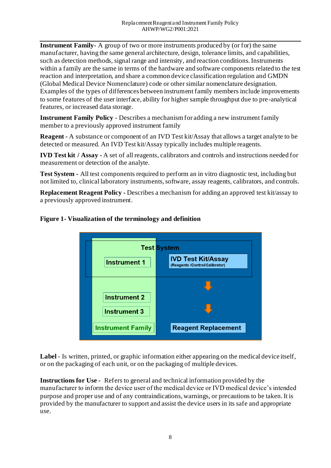**Instrument Family-** A group of two or more instruments produced by (or for) the same manufacturer, having the same general architecture, design, tolerance limits, and capabilities, such as detection methods, signal range and intensity, and reaction conditions. Instruments within a family are the same in terms of the hardware and software components related to the test reaction and interpretation, and share a common device classification regulation and GMDN (Global Medical Device Nomenclature) code or other similar nomenclature designation. Examples of the types of differences between instrument family members include improvements to some features of the user interface, ability for higher sample throughput due to pre-analytical features, or increased data storage.

**Instrument Family Policy** - Describes a mechanism for adding a new instrument family member to a previously approved instrument family

**Reagent -** A substance or component of an IVD Test kit/Assay that allows a target analyte to be detected or measured. An IVD Test kit/Assay typically includes multiple reagents.

**IVD Test kit / Assay -** A set of all reagents, calibrators and controls and instructions needed for measurement or detection of the analyte.

**Test System -** All test components required to perform an in vitro diagnostic test, including but not limited to, clinical laboratory instruments, software, assay reagents, calibrators, and controls.

**Replacement Reagent Policy -** Describes a mechanism for adding an approved test kit/assay to a previously approved instrument.



#### **Figure 1- Visualization of the terminology and definition**

**Label** *-* Is written, printed, or graphic information either appearing on the medical device itself, or on the packaging of each unit, or on the packaging of multiple devices.

**Instructions for Use -** Refers to general and technical information provided by the manufacturer to inform the device user of the medical device or IVD medical device's intended purpose and proper use and of any contraindications, warnings, or precautions to be taken. It is provided by the manufacturer to support and assist the device users in its safe and appropriate use.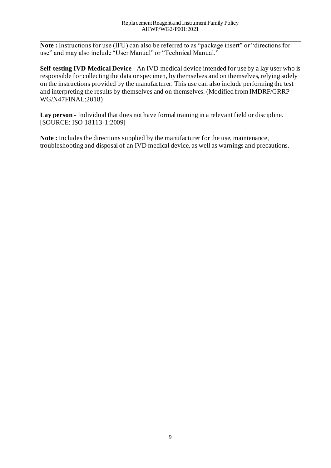**Note :** Instructions for use (IFU) can also be referred to as "package insert" or "directions for use" and may also include "User Manual" or "Technical Manual."

**Self-testing IVD Medical Device** - An IVD medical device intended for use by a lay user who is responsible for collecting the data or specimen, by themselves and on themselves, relying solely on the instructions provided by the manufacturer. This use can also include performing the test and interpreting the results by themselves and on themselves. (Modified from IMDRF/GRRP WG/N47FINAL:2018)

**Lay person** - Individual that does not have formal training in a relevant field or discipline. [SOURCE: ISO 18113-1:2009]

**Note :** Includes the directions supplied by the manufacturer for the use, maintenance, troubleshooting and disposal of an IVD medical device, as well as warnings and precautions.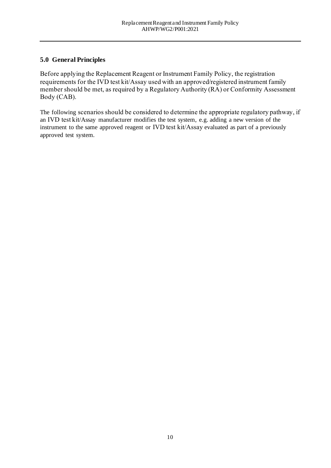#### <span id="page-9-0"></span>**5.0 General Principles**

Before applying the Replacement Reagent or Instrument Family Policy, the registration requirements for the IVD test kit/Assay used with an approved/registered instrument family member should be met, as required by a Regulatory Authority (RA) or Conformity Assessment Body (CAB).

The following scenarios should be considered to determine the appropriate regulatory pathway, if an IVD test kit/Assay manufacturer modifies the test system, e.g. adding a new version of the instrument to the same approved reagent or IVD test kit/Assay evaluated as part of a previously approved test system.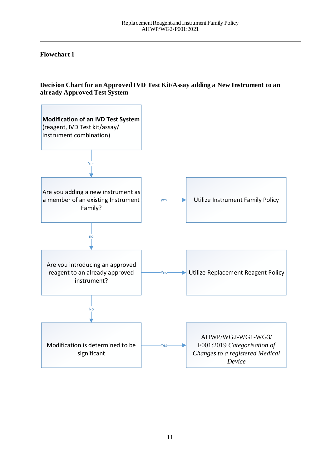#### **Flowchart 1**

#### **Decision Chart for an Approved IVD Test Kit/Assay adding a New Instrument to an already Approved Test System**

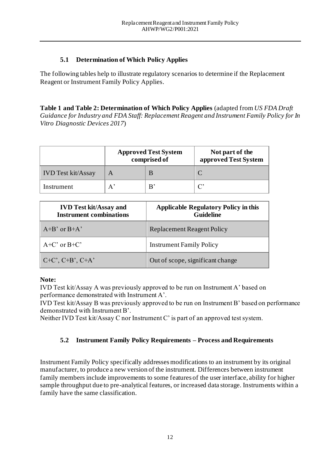#### **5.1 Determination of Which Policy Applies**

<span id="page-11-0"></span>The following tables help to illustrate regulatory scenarios to determine if the Replacement Reagent or Instrument Family Policy Applies.

**Table 1 and Table 2: Determination of Which Policy Applies** (adapted from *US FDA Draft Guidance for Industry and FDA Staff: Replacement Reagent and Instrument Family Policy for In Vitro Diagnostic Devices 2017*)

|                           | <b>Approved Test System</b><br>comprised of |   | Not part of the<br>approved Test System |
|---------------------------|---------------------------------------------|---|-----------------------------------------|
| <b>IVD</b> Test kit/Assay |                                             | B |                                         |
| Instrument                |                                             | B | C'                                      |

| <b>IVD Test kit/Assay and</b><br><b>Instrument combinations</b> | <b>Applicable Regulatory Policy in this</b><br><b>Guideline</b> |
|-----------------------------------------------------------------|-----------------------------------------------------------------|
| $A+B'$ or $B+A'$                                                | <b>Replacement Reagent Policy</b>                               |
| $A+C'$ or $B+C'$                                                | <b>Instrument Family Policy</b>                                 |
| $C+C$ , $C+B$ , $C+A$                                           | Out of scope, significant change                                |

#### **Note:**

IVD Test kit/Assay A was previously approved to be run on Instrument A' based on performance demonstrated with Instrument A'.

IVD Test kit/Assay B was previously approved to be run on Instrument B' based on performance demonstrated with Instrument B'.

<span id="page-11-1"></span>Neither IVD Test kit/Assay C nor Instrument C' is part of an approved test system.

#### **5.2 Instrument Family Policy Requirements – Process and Requirements**

Instrument Family Policy specifically addresses modifications to an instrument by its original manufacturer, to produce a new version of the instrument. Differences between instrument family members include improvements to some features of the user interface, ability for higher sample throughput due to pre-analytical features, or increased data storage. Instruments within a family have the same classification.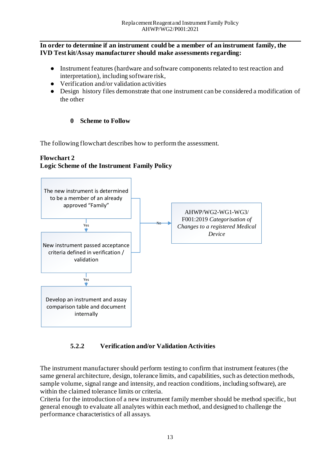#### **In order to determine if an instrument could be a member of an instrument family, the IVD Test kit/Assay manufacturer should make assessments regarding:**

- Instrument features (hardware and software components related to test reaction and interpretation), including software risk,
- Verification and/or validation activities
- Design history files demonstrate that one instrument can be considered a modification of the other

#### <span id="page-12-0"></span>**[0](#page-16-2) Scheme to Follow**

The following flowchart describes how to perform the assessment.

#### **Flowchart 2**

#### **Logic Scheme of the Instrument Family Policy**



#### **5.2.2 Verification and/or Validation Activities**

<span id="page-12-1"></span>The instrument manufacturer should perform testing to confirm that instrument features (the same general architecture, design, tolerance limits, and capabilities, such as detection methods, sample volume, signal range and intensity, and reaction conditions, including software), are within the claimed tolerance limits or criteria.

Criteria for the introduction of a new instrument family member should be method specific, but general enough to evaluate all analytes within each method, and designed to challenge the performance characteristics of all assays.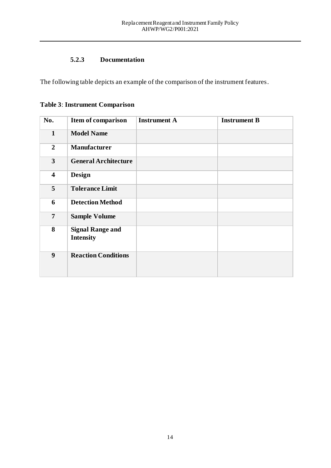#### **5.2.3 Documentation**

The following table depicts an example of the comparison of the instrument features.

## **Table 3**: **Instrument Comparison**

| No.                     | Item of comparison                          | <b>Instrument A</b> | <b>Instrument B</b> |
|-------------------------|---------------------------------------------|---------------------|---------------------|
| $\mathbf{1}$            | <b>Model Name</b>                           |                     |                     |
| $\overline{2}$          | <b>Manufacturer</b>                         |                     |                     |
| $3^{\circ}$             | <b>General Architecture</b>                 |                     |                     |
| $\overline{\mathbf{4}}$ | <b>Design</b>                               |                     |                     |
| 5                       | <b>Tolerance Limit</b>                      |                     |                     |
| 6                       | <b>Detection Method</b>                     |                     |                     |
| $\overline{7}$          | <b>Sample Volume</b>                        |                     |                     |
| 8                       | <b>Signal Range and</b><br><b>Intensity</b> |                     |                     |
| 9                       | <b>Reaction Conditions</b>                  |                     |                     |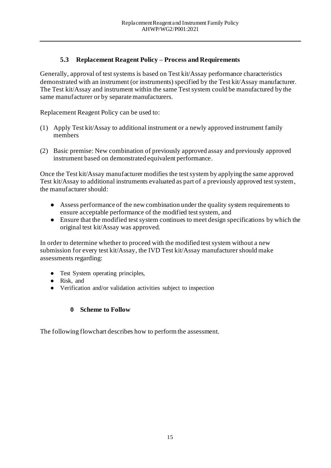#### **5.3 Replacement Reagent Policy – Process and Requirements**

<span id="page-14-0"></span>Generally, approval of test systems is based on Test kit/Assay performance characteristics demonstrated with an instrument (or instruments) specified by the Test kit/Assay manufacturer. The Test kit/Assay and instrument within the same Test system could be manufactured by the same manufacturer or by separate manufacturers.

Replacement Reagent Policy can be used to:

- (1) Apply Test kit/Assay to additional instrument or a newly approved instrument family members
- (2) Basic premise: New combination of previously approved assay and previously approved instrument based on demonstrated equivalent performance.

Once the Test kit/Assay manufacturer modifies the test system by applying the same approved Test kit/Assay to additional instruments evaluated as part of a previously approved test system, the manufacturer should:

- Assess performance of the new combination under the quality system requirements to ensure acceptable performance of the modified test system, and
- Ensure that the modified test system continues to meet design specifications by which the original test kit/Assay was approved.

In order to determine whether to proceed with the modified test system without a new submission for every test kit/Assay, the IVD Test kit/Assay manufacturer should make assessments regarding:

- Test System operating principles,
- Risk, and
- Verification and/or validation activities subject to inspection

#### <span id="page-14-1"></span>**[0](#page-16-2) Scheme to Follow**

The following flowchart describes how to perform the assessment.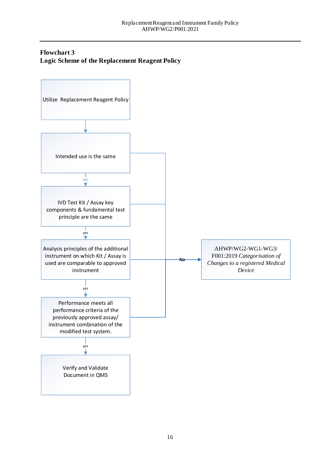#### **Flowchart 3 Logic Scheme of the Replacement Reagent Policy**

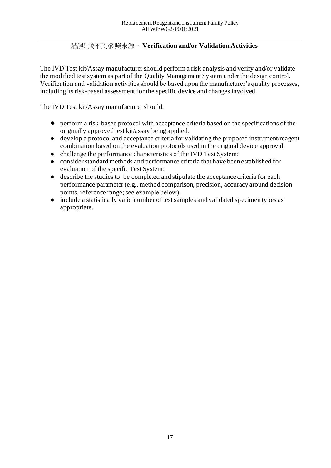#### <span id="page-16-2"></span><span id="page-16-0"></span>錯誤! 找不到參照來源。 **Verification and/or Validation Activities**

The IVD Test kit/Assay manufacturer should perform a risk analysis and verify and/or validate the modified test system as part of the Quality Management System under the design control. Verification and validation activities should be based upon the manufacturer's quality processes, including its risk-based assessment for the specific device and changes involved.

The IVD Test kit/Assay manufacturer should:

- perform a risk-based protocol with acceptance criteria based on the specifications of the originally approved test kit/assay being applied;
- develop a protocol and acceptance criteria for validating the proposed instrument/reagent combination based on the evaluation protocols used in the original device approval;
- challenge the performance characteristics of the IVD Test System;
- consider standard methods and performance criteria that have been established for evaluation of the specific Test System;
- describe the studies to be completed and stipulate the acceptance criteria for each performance parameter (e.g., method comparison, precision, accuracy around decision points, reference range; see example below).
- <span id="page-16-1"></span>● include a statistically valid number of test samples and validated specimen types as appropriate.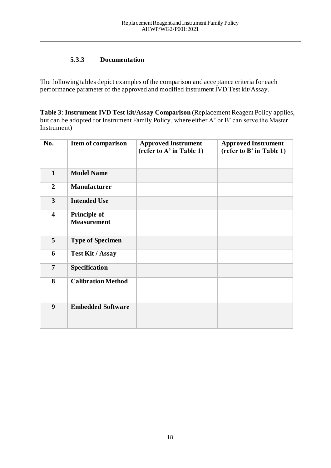#### **5.3.3 Documentation**

The following tables depict examples of the comparison and acceptance criteria for each performance parameter of the approved and modified instrument IVD Test kit/Assay.

**Table 3**: **Instrument IVD Test kit/Assay Comparison** (Replacement Reagent Policy applies, but can be adopted for Instrument Family Policy, where either A' or B' can serve the Master Instrument)

| No.                     | Item of comparison                        | <b>Approved Instrument</b><br>(refer to A' in Table 1) | <b>Approved Instrument</b><br>(refer to B' in Table 1) |
|-------------------------|-------------------------------------------|--------------------------------------------------------|--------------------------------------------------------|
| $\mathbf{1}$            | <b>Model Name</b>                         |                                                        |                                                        |
| $\overline{2}$          | <b>Manufacturer</b>                       |                                                        |                                                        |
| $\overline{3}$          | <b>Intended Use</b>                       |                                                        |                                                        |
| $\overline{\mathbf{4}}$ | <b>Principle of</b><br><b>Measurement</b> |                                                        |                                                        |
| 5                       | <b>Type of Specimen</b>                   |                                                        |                                                        |
| 6                       | <b>Test Kit / Assay</b>                   |                                                        |                                                        |
| 7                       | Specification                             |                                                        |                                                        |
| 8                       | <b>Calibration Method</b>                 |                                                        |                                                        |
| $\boldsymbol{9}$        | <b>Embedded Software</b>                  |                                                        |                                                        |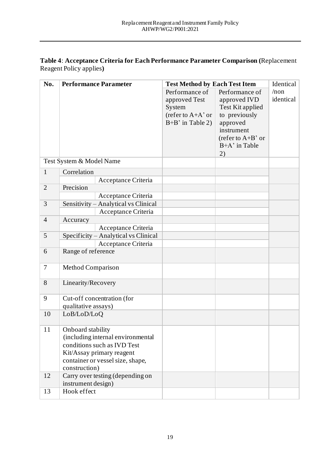**Table 4**: **Acceptance Criteria for Each Performance Parameter Comparison (**Replacement Reagent Policy applies**)**

| No.            | <b>Performance Parameter</b>                                                                                                                                            | <b>Test Method by Each Test Item</b>                                                   |                                                                                                                                             | Identical         |
|----------------|-------------------------------------------------------------------------------------------------------------------------------------------------------------------------|----------------------------------------------------------------------------------------|---------------------------------------------------------------------------------------------------------------------------------------------|-------------------|
|                |                                                                                                                                                                         | Performance of<br>approved Test<br>System<br>(refer to $A+A'$ or<br>$B+B'$ in Table 2) | Performance of<br>approved IVD<br>Test Kit applied<br>to previously<br>approved<br>instrument<br>(refer to $A+B'$ or<br>B+A' in Table<br>2) | /non<br>identical |
|                | Test System & Model Name                                                                                                                                                |                                                                                        |                                                                                                                                             |                   |
| $\mathbf{1}$   | Correlation                                                                                                                                                             |                                                                                        |                                                                                                                                             |                   |
|                | Acceptance Criteria                                                                                                                                                     |                                                                                        |                                                                                                                                             |                   |
| $\overline{2}$ | Precision                                                                                                                                                               |                                                                                        |                                                                                                                                             |                   |
|                | Acceptance Criteria                                                                                                                                                     |                                                                                        |                                                                                                                                             |                   |
| 3              | Sensitivity - Analytical vs Clinical<br>Acceptance Criteria                                                                                                             |                                                                                        |                                                                                                                                             |                   |
| $\overline{4}$ | Accuracy                                                                                                                                                                |                                                                                        |                                                                                                                                             |                   |
|                | Acceptance Criteria                                                                                                                                                     |                                                                                        |                                                                                                                                             |                   |
| 5              | Specificity - Analytical vs Clinical                                                                                                                                    |                                                                                        |                                                                                                                                             |                   |
|                | Acceptance Criteria                                                                                                                                                     |                                                                                        |                                                                                                                                             |                   |
| 6              | Range of reference                                                                                                                                                      |                                                                                        |                                                                                                                                             |                   |
| $\tau$         | <b>Method Comparison</b>                                                                                                                                                |                                                                                        |                                                                                                                                             |                   |
| 8              | Linearity/Recovery                                                                                                                                                      |                                                                                        |                                                                                                                                             |                   |
| 9              | Cut-off concentration (for<br>qualitative assays)                                                                                                                       |                                                                                        |                                                                                                                                             |                   |
| 10             | LoB/LoD/LoQ                                                                                                                                                             |                                                                                        |                                                                                                                                             |                   |
| 11             | Onboard stability<br>(including internal environmental<br>conditions such as IVD Test<br>Kit/Assay primary reagent<br>container or vessel size, shape,<br>construction) |                                                                                        |                                                                                                                                             |                   |
| 12             | Carry over testing (depending on<br>instrument design)                                                                                                                  |                                                                                        |                                                                                                                                             |                   |
| 13             | Hook effect                                                                                                                                                             |                                                                                        |                                                                                                                                             |                   |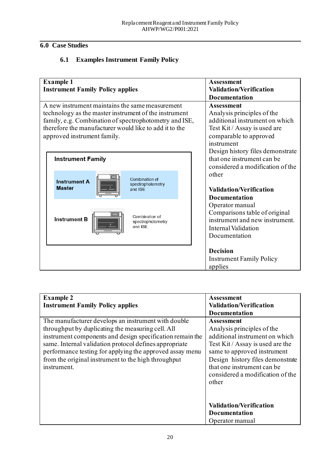## <span id="page-19-1"></span><span id="page-19-0"></span>**6.0 Case Studies**

## **6.1 Examples Instrument Family Policy**

| <b>Example 1</b><br><b>Instrument Family Policy applies</b>                                                                                                                                                                                                 | <b>Assessment</b><br><b>Validation/Verification</b><br><b>Documentation</b>                                                                                                                   |
|-------------------------------------------------------------------------------------------------------------------------------------------------------------------------------------------------------------------------------------------------------------|-----------------------------------------------------------------------------------------------------------------------------------------------------------------------------------------------|
| A new instrument maintains the same measurement<br>technology as the master instrument of the instrument<br>family, e.g. Combination of spectrophotometry and ISE,<br>therefore the manufacturer would like to add it to the<br>approved instrument family. | <b>Assessment</b><br>Analysis principles of the<br>additional instrument on which<br>Test Kit / Assay is used are<br>comparable to approved<br>instrument<br>Design history files demonstrate |
| <b>Instrument Family</b>                                                                                                                                                                                                                                    | that one instrument can be<br>considered a modification of the                                                                                                                                |
| Combination of<br><b>Instrument A</b><br>spectrophotometry<br><b>Master</b><br>and ISE                                                                                                                                                                      | other<br><b>Validation/Verification</b><br><b>Documentation</b>                                                                                                                               |
| Combination of<br><b>Instrument B</b><br>spectrophotometry<br>and ISE                                                                                                                                                                                       | Operator manual<br>Comparisons table of original<br>instrument and new instrument.<br><b>Internal Validation</b><br>Documentation                                                             |
|                                                                                                                                                                                                                                                             | <b>Decision</b><br><b>Instrument Family Policy</b><br>applies                                                                                                                                 |

| <b>Example 2</b>                                                                                                                                                                                                                                                                            | Assessment                                                                                                                                           |
|---------------------------------------------------------------------------------------------------------------------------------------------------------------------------------------------------------------------------------------------------------------------------------------------|------------------------------------------------------------------------------------------------------------------------------------------------------|
| <b>Instrument Family Policy applies</b>                                                                                                                                                                                                                                                     | <b>Validation/Verification</b>                                                                                                                       |
|                                                                                                                                                                                                                                                                                             | <b>Documentation</b>                                                                                                                                 |
| The manufacturer develops an instrument with double<br>throughput by duplicating the measuring cell. All<br>instrument components and design specification remain the<br>same. Internal validation protocol defines appropriate<br>performance testing for applying the approved assay menu | <b>Assessment</b><br>Analysis principles of the<br>additional instrument on which<br>Test Kit / Assay is used are the<br>same to approved instrument |
| from the original instrument to the high throughput<br>instrument.                                                                                                                                                                                                                          | Design history files demonstrate<br>that one instrument can be<br>considered a modification of the<br>other                                          |
|                                                                                                                                                                                                                                                                                             | <b>Validation/Verification</b>                                                                                                                       |
|                                                                                                                                                                                                                                                                                             | <b>Documentation</b>                                                                                                                                 |
|                                                                                                                                                                                                                                                                                             | Operator manual                                                                                                                                      |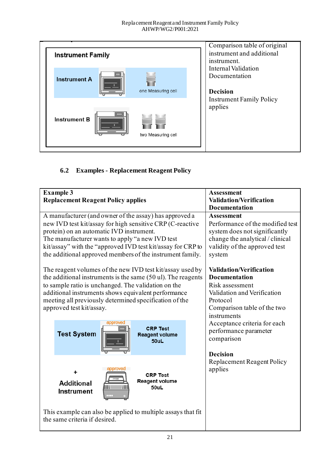

## <span id="page-20-0"></span>**6.2 Examples - Replacement Reagent Policy**

| <b>Example 3</b><br><b>Replacement Reagent Policy applies</b>                                                                                                                                                                                                                                                                                                                                                                                                                                                                                                                                                                                                                   | <b>Assessment</b><br><b>Validation/Verification</b><br><b>Documentation</b>                                                                                                                                                                                                                                                                 |
|---------------------------------------------------------------------------------------------------------------------------------------------------------------------------------------------------------------------------------------------------------------------------------------------------------------------------------------------------------------------------------------------------------------------------------------------------------------------------------------------------------------------------------------------------------------------------------------------------------------------------------------------------------------------------------|---------------------------------------------------------------------------------------------------------------------------------------------------------------------------------------------------------------------------------------------------------------------------------------------------------------------------------------------|
| A manufacturer (and owner of the assay) has approved a<br>new IVD test kit/assay for high sensitive CRP (C-reactive<br>protein) on an automatic IVD instrument.<br>The manufacturer wants to apply "a new IVD test<br>kit/assay" with the "approved IVD test kit/assay for CRP to<br>the additional approved members of the instrument family.<br>The reagent volumes of the new IVD test kit/assay used by<br>the additional instruments is the same (50 ul). The reagents<br>to sample ratio is unchanged. The validation on the<br>additional instruments shows equivalent performance<br>meeting all previously determined specification of the<br>approved test kit/assay. | <b>Assessment</b><br>Performance of the modified test<br>system does not significantly<br>change the analytical / clinical<br>validity of the approved test<br>system<br><b>Validation/Verification</b><br><b>Documentation</b><br>Risk assessment<br>Validation and Verification<br>Protocol<br>Comparison table of the two<br>instruments |
| approved<br><b>CRP Test</b><br><b>Test System</b><br><b>Reagent volume</b><br>50uL                                                                                                                                                                                                                                                                                                                                                                                                                                                                                                                                                                                              | Acceptance criteria for each<br>performance parameter<br>comparison<br><b>Decision</b>                                                                                                                                                                                                                                                      |
| approved<br><b>CRP Test</b><br><b>Reagent volume</b><br><b>Additional</b><br>50uL<br>Instrument                                                                                                                                                                                                                                                                                                                                                                                                                                                                                                                                                                                 | <b>Replacement Reagent Policy</b><br>applies                                                                                                                                                                                                                                                                                                |
| This example can also be applied to multiple assays that fit<br>the same criteria if desired.                                                                                                                                                                                                                                                                                                                                                                                                                                                                                                                                                                                   |                                                                                                                                                                                                                                                                                                                                             |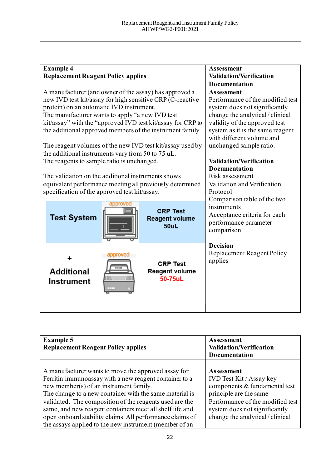| <b>Example 4</b><br><b>Replacement Reagent Policy applies</b>                                                                                                                                                                                                                                                                                                                                                                                                                                                  |          | <b>Assessment</b><br><b>Validation/Verification</b>                                                                                                                                                                                                                                       |                                                                                                                   |
|----------------------------------------------------------------------------------------------------------------------------------------------------------------------------------------------------------------------------------------------------------------------------------------------------------------------------------------------------------------------------------------------------------------------------------------------------------------------------------------------------------------|----------|-------------------------------------------------------------------------------------------------------------------------------------------------------------------------------------------------------------------------------------------------------------------------------------------|-------------------------------------------------------------------------------------------------------------------|
|                                                                                                                                                                                                                                                                                                                                                                                                                                                                                                                |          |                                                                                                                                                                                                                                                                                           | <b>Documentation</b>                                                                                              |
| A manufacturer (and owner of the assay) has approved a<br>new IVD test kit/assay for high sensitive CRP (C-reactive<br>protein) on an automatic IVD instrument.<br>The manufacturer wants to apply "a new IVD test<br>kit/assay" with the "approved IVD test kit/assay for CRP to<br>the additional approved members of the instrument family.<br>The reagent volumes of the new IVD test kit/assay used by<br>the additional instruments vary from 50 to 75 uL.<br>The reagents to sample ratio is unchanged. |          | <b>Assessment</b><br>Performance of the modified test<br>system does not significantly<br>change the analytical / clinical<br>validity of the approved test<br>system as it is the same reagent<br>with different volume and<br>unchanged sample ratio.<br><b>Validation/Verification</b> |                                                                                                                   |
| The validation on the additional instruments shows<br>equivalent performance meeting all previously determined<br>specification of the approved test kit/assay.                                                                                                                                                                                                                                                                                                                                                |          | <b>Documentation</b><br>Risk assessment<br>Validation and Verification<br>Protocol                                                                                                                                                                                                        |                                                                                                                   |
| <b>Test System</b>                                                                                                                                                                                                                                                                                                                                                                                                                                                                                             | approved | <b>CRP Test</b><br><b>Reagent volume</b><br>50uL                                                                                                                                                                                                                                          | Comparison table of the two<br>instruments<br>Acceptance criteria for each<br>performance parameter<br>comparison |
| <b>Additional</b><br>Instrument                                                                                                                                                                                                                                                                                                                                                                                                                                                                                | approved | <b>CRP Test</b><br><b>Reagent volume</b><br>50-75uL                                                                                                                                                                                                                                       | <b>Decision</b><br><b>Replacement Reagent Policy</b><br>applies                                                   |

| <b>Example 5</b><br><b>Replacement Reagent Policy applies</b>                                                                                                                                                                                                                                                                                                                                                                                                   | <b>Assessment</b><br><b>Validation/Verification</b><br><b>Documentation</b>                                                                                                                                              |
|-----------------------------------------------------------------------------------------------------------------------------------------------------------------------------------------------------------------------------------------------------------------------------------------------------------------------------------------------------------------------------------------------------------------------------------------------------------------|--------------------------------------------------------------------------------------------------------------------------------------------------------------------------------------------------------------------------|
| A manufacturer wants to move the approved assay for<br>Ferritin immunoassay with a new reagent container to a<br>new member(s) of an instrument family.<br>The change to a new container with the same material is<br>validated. The composition of the reagents used are the<br>same, and new reagent containers meet all shelf life and<br>open onboard stability claims. All performance claims of<br>the assays applied to the new instrument (member of an | <b>Assessment</b><br><b>IVD Test Kit / Assay key</b><br>components & fundamental test<br>principle are the same<br>Performance of the modified test<br>system does not significantly<br>change the analytical / clinical |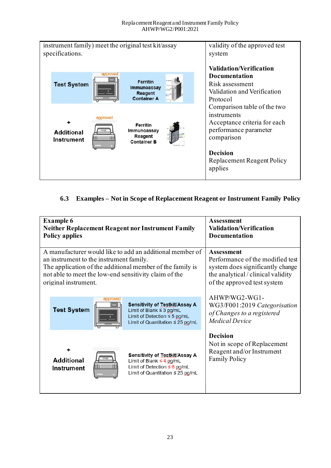| instrument family) meet the original test kit/assay                                                     | validity of the approved test                                                                                                                                                             |
|---------------------------------------------------------------------------------------------------------|-------------------------------------------------------------------------------------------------------------------------------------------------------------------------------------------|
| specifications.                                                                                         | system                                                                                                                                                                                    |
| approved<br><b>Ferritin</b><br><b>Test System</b><br>Immunoassay<br>Reagent<br><b>Container A</b>       | <b>Validation/Verification</b><br>Documentation<br>Risk assessment<br>Validation and Verification                                                                                         |
| approved<br>Ferritin<br>Immunoassay<br><b>Additional</b><br>Reagent<br>Instrument<br><b>Container B</b> | Protocol<br>Comparison table of the two<br>instruments<br>Acceptance criteria for each<br>performance parameter<br>comparison<br><b>Decision</b><br>Replacement Reagent Policy<br>applies |

### <span id="page-22-0"></span>**6.3 Examples – Not in Scope of Replacement Reagent or Instrument Family Policy**

| <b>Example 6</b>                                          |                                 |          |                                                                                                                                               | Assessment                                                                                           |
|-----------------------------------------------------------|---------------------------------|----------|-----------------------------------------------------------------------------------------------------------------------------------------------|------------------------------------------------------------------------------------------------------|
| <b>Neither Replacement Reagent nor Instrument Family</b>  |                                 |          |                                                                                                                                               | <b>Validation/Verification</b>                                                                       |
| <b>Policy applies</b>                                     |                                 |          |                                                                                                                                               | <b>Documentation</b>                                                                                 |
| A manufacturer would like to add an additional member of  |                                 |          | <b>Assessment</b>                                                                                                                             |                                                                                                      |
| an instrument to the instrument family.                   |                                 |          | Performance of the modified test                                                                                                              |                                                                                                      |
| The application of the additional member of the family is |                                 |          | system does significantly change                                                                                                              |                                                                                                      |
| not able to meet the low-end sensitivity claim of the     |                                 |          | the analytical / clinical validity                                                                                                            |                                                                                                      |
| original instrument.                                      |                                 |          | of the approved test system                                                                                                                   |                                                                                                      |
|                                                           | <b>Test System</b>              | approved | Sensitivity of Testkit/Assay A<br>Limit of Blank $\leq$ 3 pg/mL<br>Limit of Detection $\leq$ 5 pg/mL<br>Limit of Quantitation $\leq 25$ pg/mL | AHWP/WG2-WG1-<br>WG3/F001:2019 Categorisation<br>of Changes to a registered<br><b>Medical Device</b> |
|                                                           | <b>Additional</b><br>Instrument |          | Sensitivity of Testkit/Assay A<br>Limit of Blank $\leq 4$ pg/mL<br>Limit of Detection $\leq 6$ pg/mL<br>Limit of Quantitation $\leq 25$ pg/mL | <b>Decision</b><br>Not in scope of Replacement<br>Reagent and/or Instrument<br><b>Family Policy</b>  |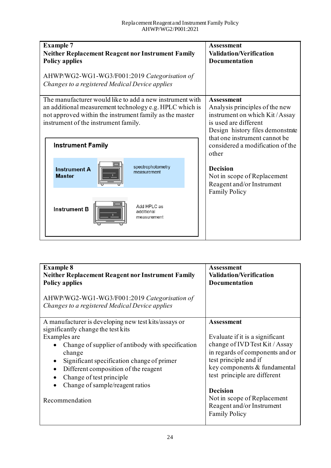| <b>Example 7</b><br><b>Neither Replacement Reagent nor Instrument Family</b><br><b>Policy applies</b>                                                                                                                                              | <b>Assessment</b><br><b>Validation/Verification</b><br><b>Documentation</b>                                                                                                                                                     |
|----------------------------------------------------------------------------------------------------------------------------------------------------------------------------------------------------------------------------------------------------|---------------------------------------------------------------------------------------------------------------------------------------------------------------------------------------------------------------------------------|
| AHWP/WG2-WG1-WG3/F001:2019 Categorisation of<br>Changes to a registered Medical Device applies                                                                                                                                                     |                                                                                                                                                                                                                                 |
| The manufacturer would like to add a new instrument with<br>an additional measurement technology e.g. HPLC which is<br>not approved within the instrument family as the master<br>instrument of the instrument family.<br><b>Instrument Family</b> | <b>Assessment</b><br>Analysis principles of the new<br>instrument on which Kit/Assay<br>is used are different<br>Design history files demonstrate<br>that one instrument cannot be<br>considered a modification of the<br>other |
| spectrophotometry<br><b>Instrument A</b><br>measurement<br><b>Master</b>                                                                                                                                                                           | <b>Decision</b><br>Not in scope of Replacement<br>Reagent and/or Instrument                                                                                                                                                     |
| Add HPLC as<br><b>Instrument B</b><br>additional<br>measurement                                                                                                                                                                                    | <b>Family Policy</b>                                                                                                                                                                                                            |

| <b>Example 8</b><br><b>Neither Replacement Reagent nor Instrument Family</b><br><b>Policy applies</b><br>AHWP/WG2-WG1-WG3/F001:2019 Categorisation of<br>Changes to a registered Medical Device applies                                                                                                                                                                                 | Assessment<br><b>Validation/Verification</b><br><b>Documentation</b>                                                                                                                                                                                                                                                      |
|-----------------------------------------------------------------------------------------------------------------------------------------------------------------------------------------------------------------------------------------------------------------------------------------------------------------------------------------------------------------------------------------|---------------------------------------------------------------------------------------------------------------------------------------------------------------------------------------------------------------------------------------------------------------------------------------------------------------------------|
| A manufacturer is developing new test kits/assays or<br>significantly change the test kits<br>Examples are<br>Change of supplier of antibody with specification<br>change<br>Significant specification change of primer<br>$\bullet$<br>Different composition of the reagent<br>$\bullet$<br>Change of test principle<br>$\bullet$<br>Change of sample/reagent ratios<br>Recommendation | <b>Assessment</b><br>Evaluate if it is a significant<br>change of IVD Test Kit / Assay<br>in regards of components and or<br>test principle and if<br>key components & fundamental<br>test principle are different<br><b>Decision</b><br>Not in scope of Replacement<br>Reagent and/or Instrument<br><b>Family Policy</b> |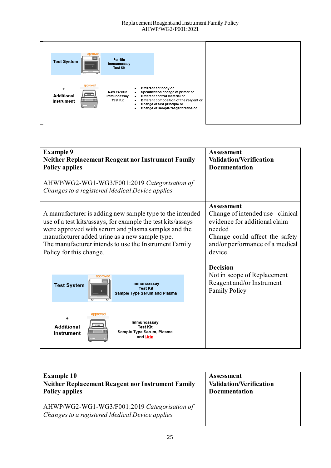#### Replacement Reagent and Instrument Family Policy AHWP/WG2/P001:2021



| <b>Example 9</b><br><b>Neither Replacement Reagent nor Instrument Family</b><br><b>Policy applies</b>                                                                                                                                                                                                                | <b>Assessment</b><br><b>Validation/Verification</b><br><b>Documentation</b>                                                                                                                          |
|----------------------------------------------------------------------------------------------------------------------------------------------------------------------------------------------------------------------------------------------------------------------------------------------------------------------|------------------------------------------------------------------------------------------------------------------------------------------------------------------------------------------------------|
| AHWP/WG2-WG1-WG3/F001:2019 Categorisation of<br>Changes to a registered Medical Device applies                                                                                                                                                                                                                       |                                                                                                                                                                                                      |
| A manufacturer is adding new sample type to the intended<br>use of a test kits/assays, for example the test kits/assays<br>were approved with serum and plasma samples and the<br>manufacturer added urine as a new sample type.<br>The manufacturer intends to use the Instrument Family<br>Policy for this change. | <b>Assessment</b><br>Change of intended use – clinical<br>evidence for additional claim<br>needed<br>Change could affect the safety<br>and/or performance of a medical<br>device.<br><b>Decision</b> |
| approved<br>Immunoassay<br><b>Test System</b><br><b>Test Kit</b><br>Sample Type Serum and Plasma                                                                                                                                                                                                                     | Not in scope of Replacement<br>Reagent and/or Instrument<br><b>Family Policy</b>                                                                                                                     |
| approved<br>Immunoassay<br><b>Additional</b><br><b>Test Kit</b><br>Sample Type Serum, Plasma<br>Instrument<br>and Urin                                                                                                                                                                                               |                                                                                                                                                                                                      |

| <b>Example 10</b>                                                                              | <b>Assessment</b>              |
|------------------------------------------------------------------------------------------------|--------------------------------|
| <b>Neither Replacement Reagent nor Instrument Family</b>                                       | <b>Validation/Verification</b> |
| <b>Policy applies</b>                                                                          | <b>Documentation</b>           |
| AHWP/WG2-WG1-WG3/F001:2019 Categorisation of<br>Changes to a registered Medical Device applies |                                |